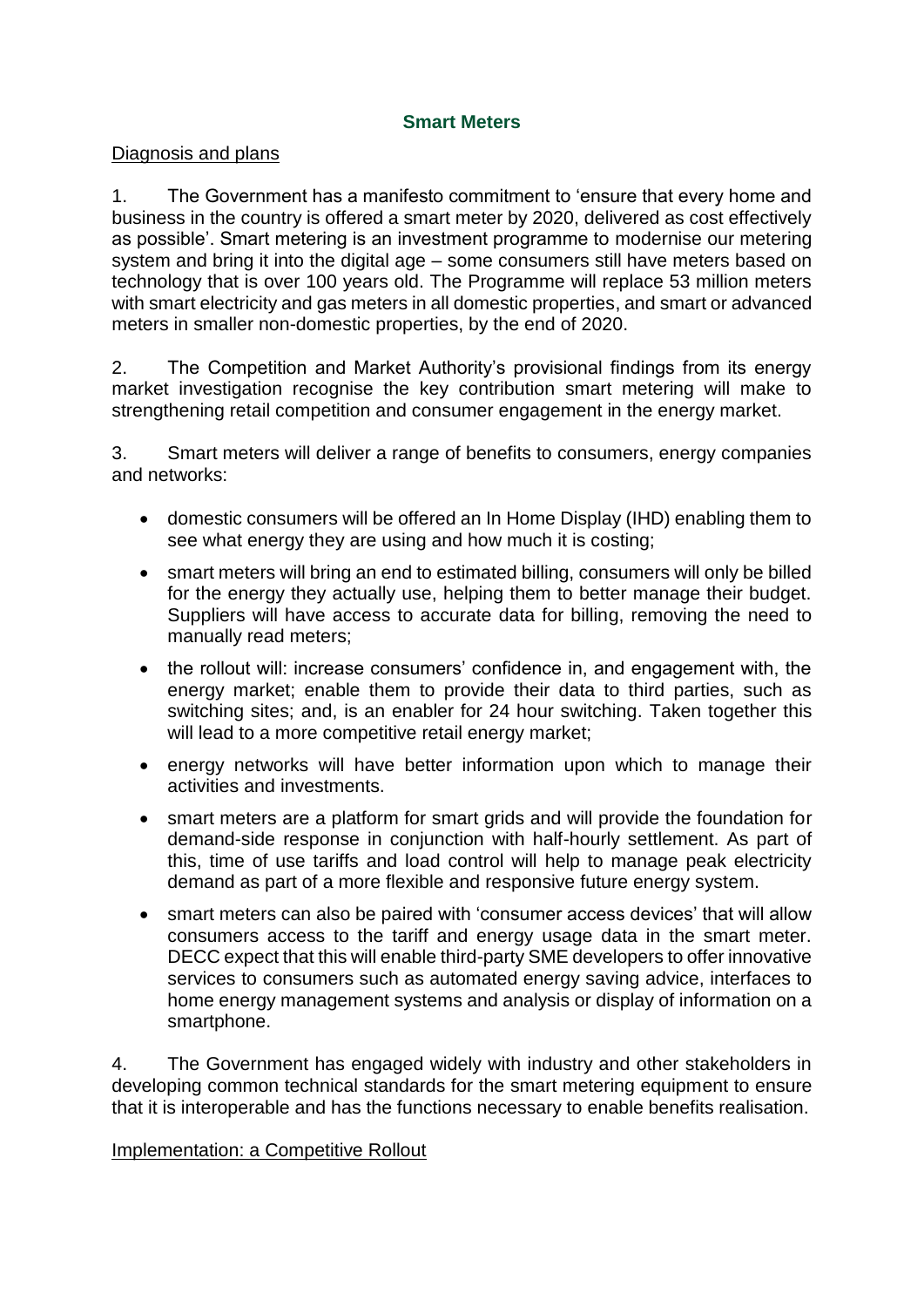## **Smart Meters**

### Diagnosis and plans

1. The Government has a manifesto commitment to 'ensure that every home and business in the country is offered a smart meter by 2020, delivered as cost effectively as possible'. Smart metering is an investment programme to modernise our metering system and bring it into the digital age – some consumers still have meters based on technology that is over 100 years old. The Programme will replace 53 million meters with smart electricity and gas meters in all domestic properties, and smart or advanced meters in smaller non-domestic properties, by the end of 2020.

2. The Competition and Market Authority's provisional findings from its energy market investigation recognise the key contribution smart metering will make to strengthening retail competition and consumer engagement in the energy market.

3. Smart meters will deliver a range of benefits to consumers, energy companies and networks:

- domestic consumers will be offered an In Home Display (IHD) enabling them to see what energy they are using and how much it is costing;
- smart meters will bring an end to estimated billing, consumers will only be billed for the energy they actually use, helping them to better manage their budget. Suppliers will have access to accurate data for billing, removing the need to manually read meters;
- the rollout will: increase consumers' confidence in, and engagement with, the energy market; enable them to provide their data to third parties, such as switching sites; and, is an enabler for 24 hour switching. Taken together this will lead to a more competitive retail energy market;
- energy networks will have better information upon which to manage their activities and investments.
- smart meters are a platform for smart grids and will provide the foundation for demand-side response in conjunction with half-hourly settlement. As part of this, time of use tariffs and load control will help to manage peak electricity demand as part of a more flexible and responsive future energy system.
- smart meters can also be paired with 'consumer access devices' that will allow consumers access to the tariff and energy usage data in the smart meter. DECC expect that this will enable third-party SME developers to offer innovative services to consumers such as automated energy saving advice, interfaces to home energy management systems and analysis or display of information on a smartphone.

4. The Government has engaged widely with industry and other stakeholders in developing common technical standards for the smart metering equipment to ensure that it is interoperable and has the functions necessary to enable benefits realisation.

### Implementation: a Competitive Rollout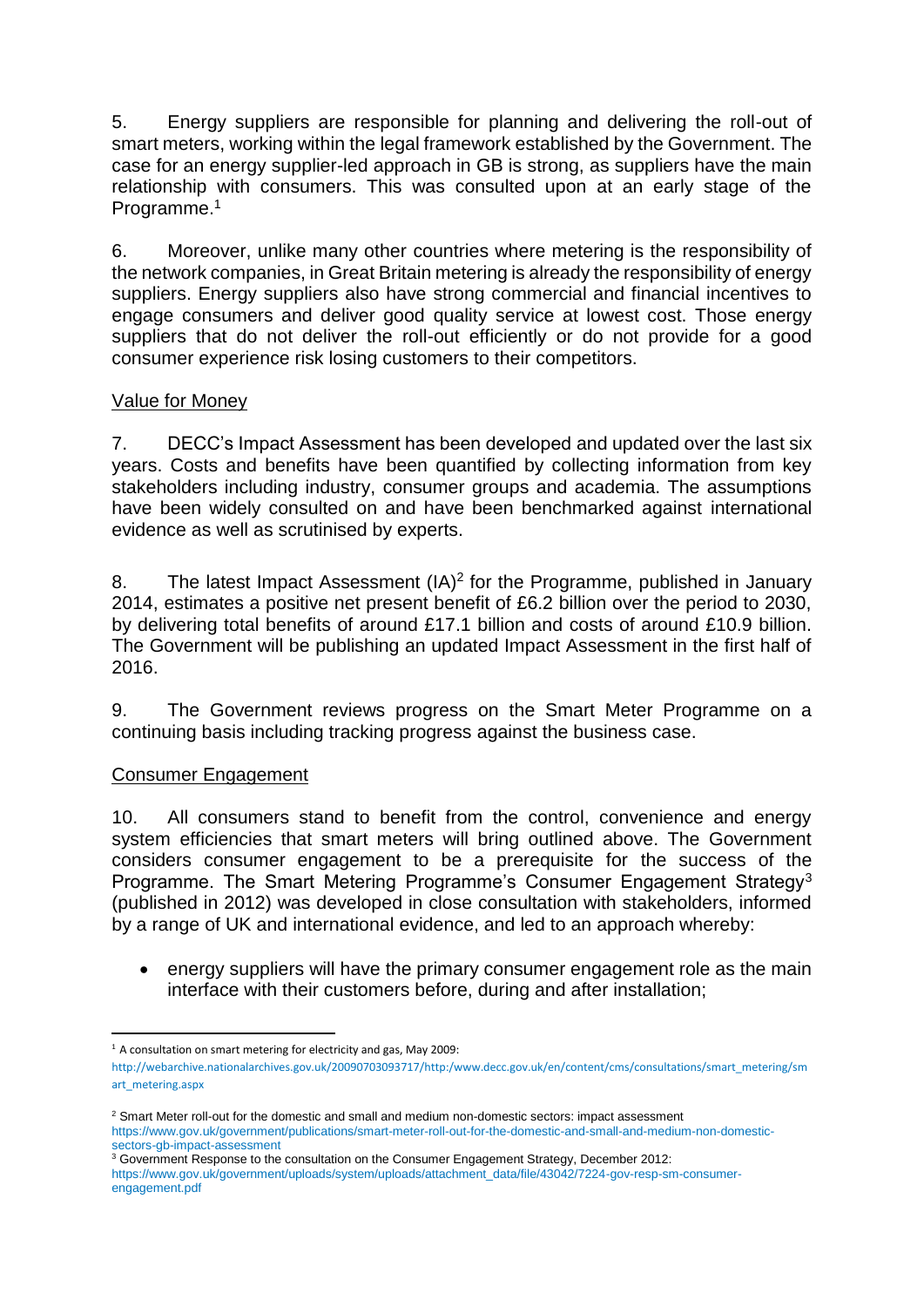5. Energy suppliers are responsible for planning and delivering the roll-out of smart meters, working within the legal framework established by the Government. The case for an energy supplier-led approach in GB is strong, as suppliers have the main relationship with consumers. This was consulted upon at an early stage of the Programme.<sup>1</sup>

6. Moreover, unlike many other countries where metering is the responsibility of the network companies, in Great Britain metering is already the responsibility of energy suppliers. Energy suppliers also have strong commercial and financial incentives to engage consumers and deliver good quality service at lowest cost. Those energy suppliers that do not deliver the roll-out efficiently or do not provide for a good consumer experience risk losing customers to their competitors.

## Value for Money

7. DECC's Impact Assessment has been developed and updated over the last six years. Costs and benefits have been quantified by collecting information from key stakeholders including industry, consumer groups and academia. The assumptions have been widely consulted on and have been benchmarked against international evidence as well as scrutinised by experts.

8. The latest Impact Assessment (IA)<sup>2</sup> for the Programme, published in January 2014, estimates a positive net present benefit of £6.2 billion over the period to 2030, by delivering total benefits of around £17.1 billion and costs of around £10.9 billion. The Government will be publishing an updated Impact Assessment in the first half of 2016.

9. The Government reviews progress on the Smart Meter Programme on a continuing basis including tracking progress against the business case.

### Consumer Engagement

10. All consumers stand to benefit from the control, convenience and energy system efficiencies that smart meters will bring outlined above. The Government considers consumer engagement to be a prerequisite for the success of the Programme. The Smart Metering Programme's Consumer Engagement Strategy<sup>3</sup> (published in 2012) was developed in close consultation with stakeholders, informed by a range of UK and international evidence, and led to an approach whereby:

• energy suppliers will have the primary consumer engagement role as the main interface with their customers before, during and after installation;

**<sup>.</sup>**  $1$  A consultation on smart metering for electricity and gas, May 2009:

[http://webarchive.nationalarchives.gov.uk/20090703093717/http:/www.decc.gov.uk/en/content/cms/consultations/smart\\_metering/sm](http://webarchive.nationalarchives.gov.uk/20090703093717/http:/www.decc.gov.uk/en/content/cms/consultations/smart_metering/smart_metering.aspx) [art\\_metering.aspx](http://webarchive.nationalarchives.gov.uk/20090703093717/http:/www.decc.gov.uk/en/content/cms/consultations/smart_metering/smart_metering.aspx)

<sup>&</sup>lt;sup>2</sup> Smart Meter roll-out for the domestic and small and medium non-domestic sectors: impact assessment [https://www.gov.uk/government/publications/smart-meter-roll-out-for-the-domestic-and-small-and-medium-non-domestic](https://www.gov.uk/government/publications/smart-meter-roll-out-for-the-domestic-and-small-and-medium-non-domestic-sectors-gb-impact-assessment)[sectors-gb-impact-assessment](https://www.gov.uk/government/publications/smart-meter-roll-out-for-the-domestic-and-small-and-medium-non-domestic-sectors-gb-impact-assessment)

<sup>&</sup>lt;sup>3</sup> Government Response to the consultation on the Consumer Engagement Strategy, December 2012: [https://www.gov.uk/government/uploads/system/uploads/attachment\\_data/file/43042/7224-gov-resp-sm-consumer](https://www.gov.uk/government/uploads/system/uploads/attachment_data/file/43042/7224-gov-resp-sm-consumer-engagement.pdf)[engagement.pdf](https://www.gov.uk/government/uploads/system/uploads/attachment_data/file/43042/7224-gov-resp-sm-consumer-engagement.pdf)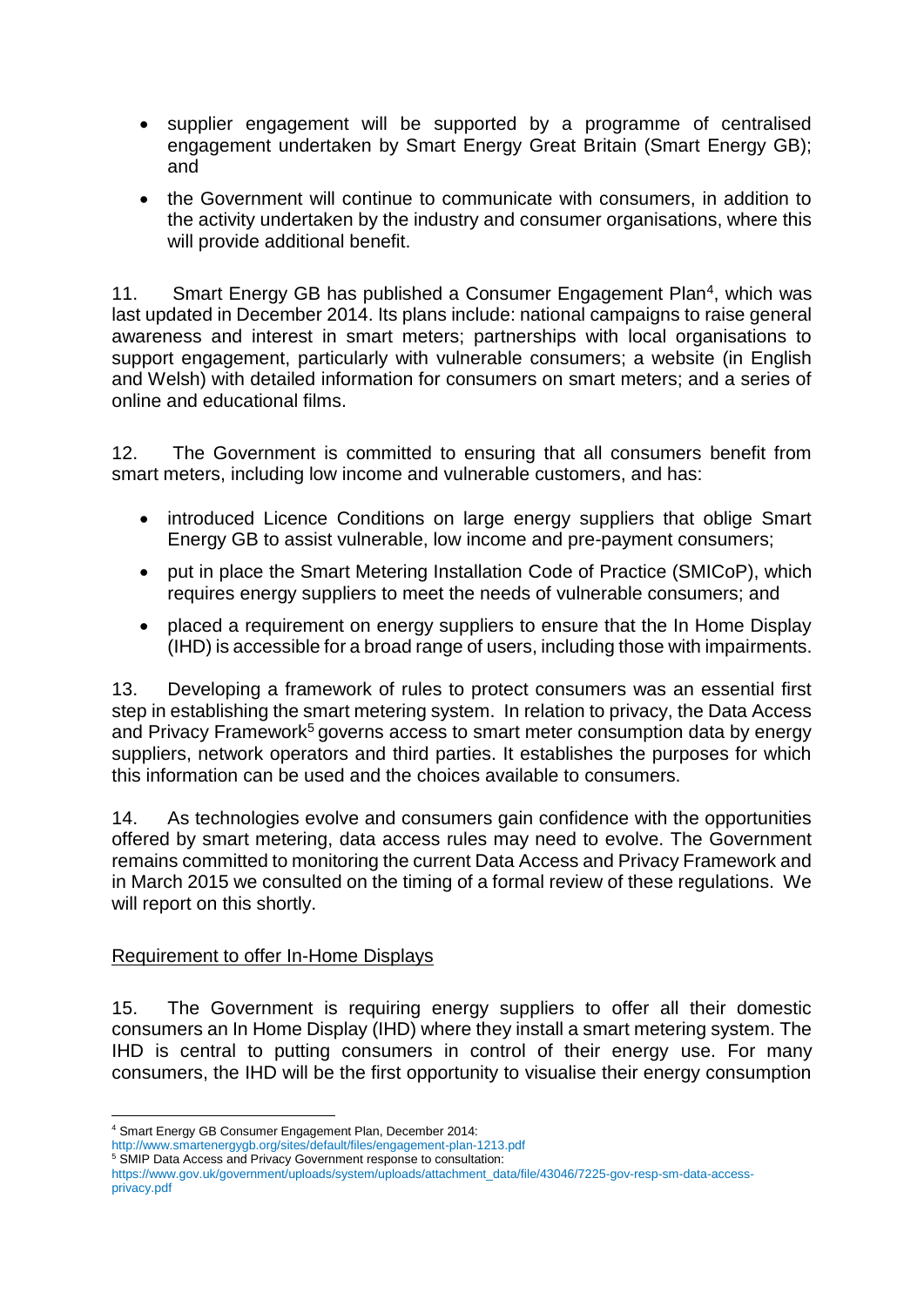- supplier engagement will be supported by a programme of centralised engagement undertaken by Smart Energy Great Britain (Smart Energy GB); and
- the Government will continue to communicate with consumers, in addition to the activity undertaken by the industry and consumer organisations, where this will provide additional benefit.

11. Smart Energy GB has published a Consumer Engagement Plan<sup>4</sup>, which was last updated in December 2014. Its plans include: national campaigns to raise general awareness and interest in smart meters; partnerships with local organisations to support engagement, particularly with vulnerable consumers; a website (in English and Welsh) with detailed information for consumers on smart meters; and a series of online and educational films.

12. The Government is committed to ensuring that all consumers benefit from smart meters, including low income and vulnerable customers, and has:

- introduced Licence Conditions on large energy suppliers that oblige Smart Energy GB to assist vulnerable, low income and pre-payment consumers;
- put in place the Smart Metering Installation Code of Practice (SMICoP), which requires energy suppliers to meet the needs of vulnerable consumers; and
- placed a requirement on energy suppliers to ensure that the In Home Display (IHD) is accessible for a broad range of users, including those with impairments.

13. Developing a framework of rules to protect consumers was an essential first step in establishing the smart metering system. In relation to privacy, the Data Access and Privacy Framework<sup>5</sup> governs access to smart meter consumption data by energy suppliers, network operators and third parties. It establishes the purposes for which this information can be used and the choices available to consumers.

14. As technologies evolve and consumers gain confidence with the opportunities offered by smart metering, data access rules may need to evolve. The Government remains committed to monitoring the current Data Access and Privacy Framework and in March 2015 we consulted on the timing of a formal review of these regulations. We will report on this shortly.

### Requirement to offer In-Home Displays

15. The Government is requiring energy suppliers to offer all their domestic consumers an In Home Display (IHD) where they install a smart metering system. The IHD is central to putting consumers in control of their energy use. For many consumers, the IHD will be the first opportunity to visualise their energy consumption

**.** 

- <sup>5</sup> SMIP Data Access and Privacy Government response to consultation:
- [https://www.gov.uk/government/uploads/system/uploads/attachment\\_data/file/43046/7225-gov-resp-sm-data-access](https://www.gov.uk/government/uploads/system/uploads/attachment_data/file/43046/7225-gov-resp-sm-data-access-privacy.pdf)[privacy.pdf](https://www.gov.uk/government/uploads/system/uploads/attachment_data/file/43046/7225-gov-resp-sm-data-access-privacy.pdf)

<sup>4</sup> Smart Energy GB Consumer Engagement Plan, December 2014:

<http://www.smartenergygb.org/sites/default/files/engagement-plan-1213.pdf>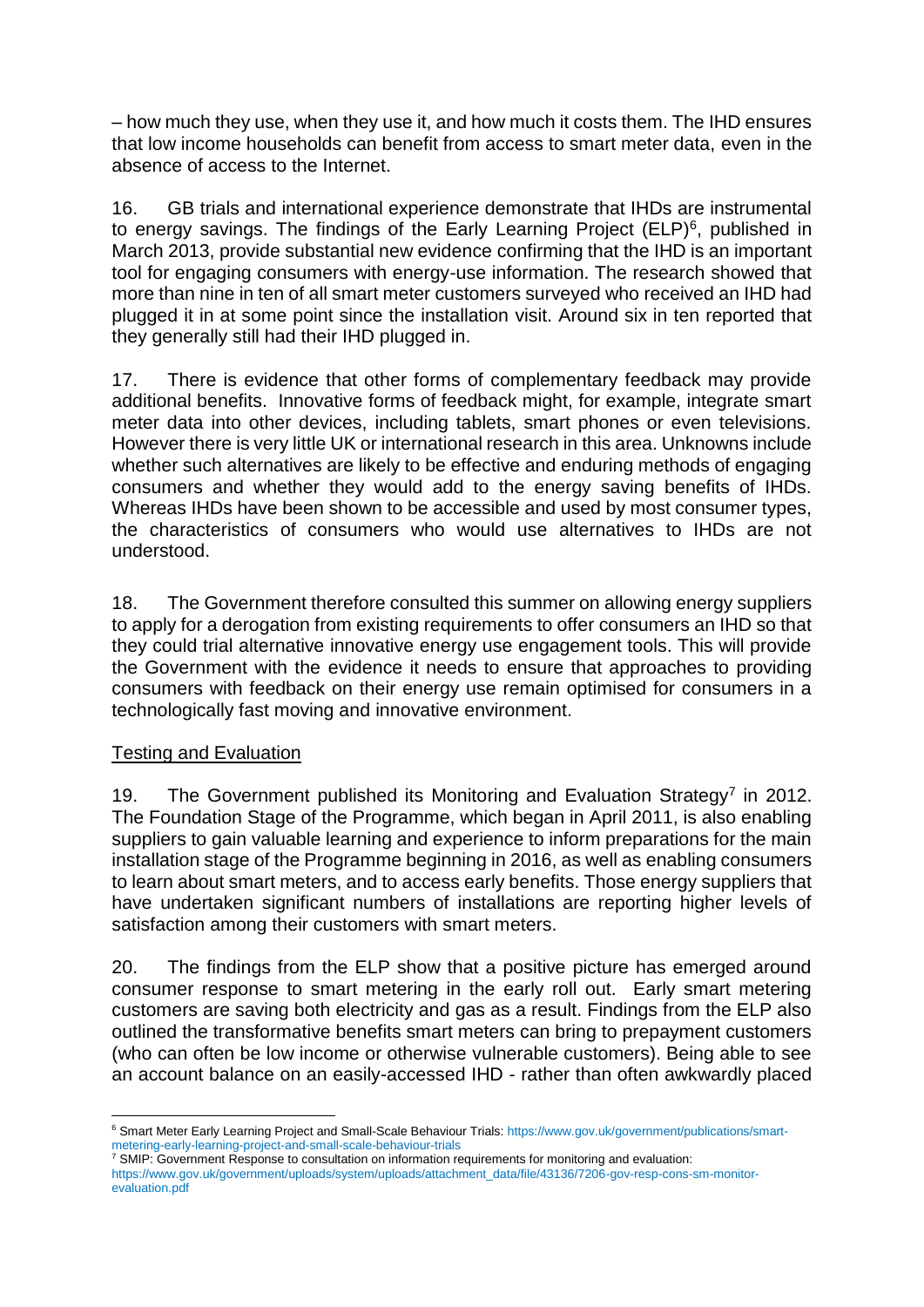– how much they use, when they use it, and how much it costs them. The IHD ensures that low income households can benefit from access to smart meter data, even in the absence of access to the Internet.

16. GB trials and international experience demonstrate that IHDs are instrumental to energy savings. The findings of the Early Learning Project (ELP)<sup>6</sup>, published in March 2013, provide substantial new evidence confirming that the IHD is an important tool for engaging consumers with energy-use information. The research showed that more than nine in ten of all smart meter customers surveyed who received an IHD had plugged it in at some point since the installation visit. Around six in ten reported that they generally still had their IHD plugged in.

17. There is evidence that other forms of complementary feedback may provide additional benefits. Innovative forms of feedback might, for example, integrate smart meter data into other devices, including tablets, smart phones or even televisions. However there is very little UK or international research in this area. Unknowns include whether such alternatives are likely to be effective and enduring methods of engaging consumers and whether they would add to the energy saving benefits of IHDs. Whereas IHDs have been shown to be accessible and used by most consumer types, the characteristics of consumers who would use alternatives to IHDs are not understood.

18. The Government therefore consulted this summer on allowing energy suppliers to apply for a derogation from existing requirements to offer consumers an IHD so that they could trial alternative innovative energy use engagement tools. This will provide the Government with the evidence it needs to ensure that approaches to providing consumers with feedback on their energy use remain optimised for consumers in a technologically fast moving and innovative environment.

# Testing and Evaluation

19. The Government published its Monitoring and Evaluation Strategy<sup>7</sup> in 2012. The Foundation Stage of the Programme, which began in April 2011, is also enabling suppliers to gain valuable learning and experience to inform preparations for the main installation stage of the Programme beginning in 2016, as well as enabling consumers to learn about smart meters, and to access early benefits. Those energy suppliers that have undertaken significant numbers of installations are reporting higher levels of satisfaction among their customers with smart meters.

20. The findings from the ELP show that a positive picture has emerged around consumer response to smart metering in the early roll out. Early smart metering customers are saving both electricity and gas as a result. Findings from the ELP also outlined the transformative benefits smart meters can bring to prepayment customers (who can often be low income or otherwise vulnerable customers). Being able to see an account balance on an easily-accessed IHD - rather than often awkwardly placed

**<sup>.</sup>** <sup>6</sup> Smart Meter Early Learning Project and Small-Scale Behaviour Trials: [https://www.gov.uk/government/publications/smart](https://www.gov.uk/government/publications/smart-metering-early-learning-project-and-small-scale-behaviour-trials)[metering-early-learning-project-and-small-scale-behaviour-trials](https://www.gov.uk/government/publications/smart-metering-early-learning-project-and-small-scale-behaviour-trials)

<sup>7</sup> SMIP: Government Response to consultation on information requirements for monitoring and evaluation:

[https://www.gov.uk/government/uploads/system/uploads/attachment\\_data/file/43136/7206-gov-resp-cons-sm-monitor](https://www.gov.uk/government/uploads/system/uploads/attachment_data/file/43136/7206-gov-resp-cons-sm-monitor-evaluation.pdf)[evaluation.pdf](https://www.gov.uk/government/uploads/system/uploads/attachment_data/file/43136/7206-gov-resp-cons-sm-monitor-evaluation.pdf)